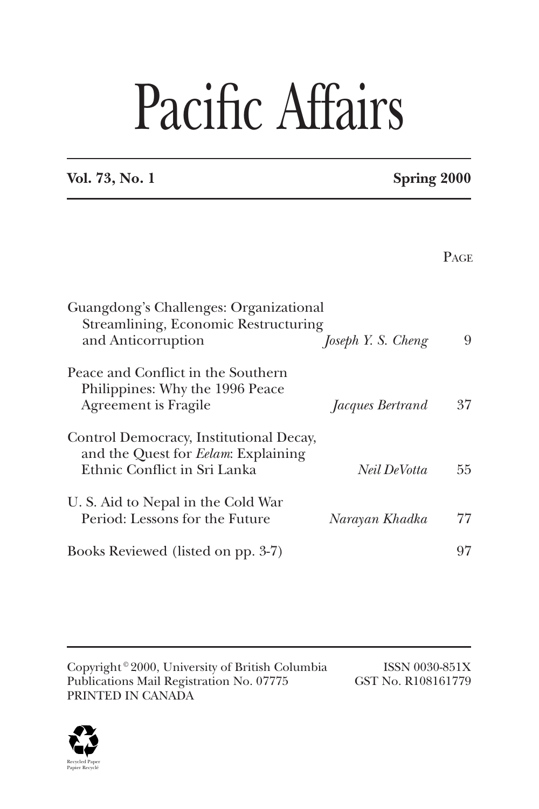**Vol. 73, No. 1 Spring 2000**

PAGE

| Guangdong's Challenges: Organizational<br>Streamlining, Economic Restructuring         |                         |    |
|----------------------------------------------------------------------------------------|-------------------------|----|
| and Anticorruption                                                                     | Joseph Y. S. Cheng      | 9  |
| Peace and Conflict in the Southern<br>Philippines: Why the 1996 Peace                  |                         |    |
| <b>Agreement</b> is Fragile                                                            | <i>Jacques Bertrand</i> | 37 |
| Control Democracy, Institutional Decay,<br>and the Quest for <i>Eelam</i> : Explaining |                         |    |
| Ethnic Conflict in Sri Lanka                                                           | Neil DeVotta            | 55 |
| U.S. Aid to Nepal in the Cold War<br>Period: Lessons for the Future                    | Narayan Khadka          | 77 |
| Books Reviewed (listed on pp. 3-7)                                                     |                         | 97 |

Copyright <sup>©</sup> 2000, University of British Columbia ISSN 0030-851X<br>Publications Mail Registration No. 07775 GST No. R108161779 Publications Mail Registration No. 07775 PRINTED IN CANADA

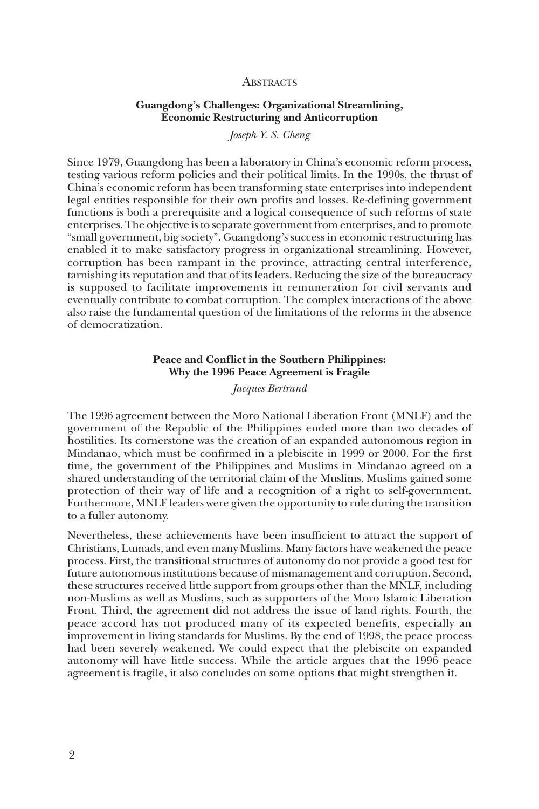### **ABSTRACTS**

### **Guangdong's Challenges: Organizational Streamlining, Economic Restructuring and Anticorruption**

*Joseph Y. S. Cheng*

Since 1979, Guangdong has been a laboratory in China's economic reform process, testing various reform policies and their political limits. In the 1990s, the thrust of China's economic reform has been transforming state enterprises into independent legal entities responsible for their own profits and losses. Re-defining government functions is both a prerequisite and a logical consequence of such reforms of state enterprises. The objective is to separate government from enterprises, and to promote "small government, big society". Guangdong's success in economic restructuring has enabled it to make satisfactory progress in organizational streamlining. However, corruption has been rampant in the province, attracting central interference, tarnishing its reputation and that of its leaders. Reducing the size of the bureaucracy is supposed to facilitate improvements in remuneration for civil servants and eventually contribute to combat corruption. The complex interactions of the above also raise the fundamental question of the limitations of the reforms in the absence of democratization.

### **Peace and Conflict in the Southern Philippines: Why the 1996 Peace Agreement is Fragile**

*Jacques Bertrand*

The 1996 agreement between the Moro National Liberation Front (MNLF) and the government of the Republic of the Philippines ended more than two decades of hostilities. Its cornerstone was the creation of an expanded autonomous region in Mindanao, which must be confirmed in a plebiscite in 1999 or 2000. For the first time, the government of the Philippines and Muslims in Mindanao agreed on a shared understanding of the territorial claim of the Muslims. Muslims gained some protection of their way of life and a recognition of a right to self-government. Furthermore, MNLF leaders were given the opportunity to rule during the transition to a fuller autonomy.

Nevertheless, these achievements have been insufficient to attract the support of Christians, Lumads, and even many Muslims. Many factors have weakened the peace process. First, the transitional structures of autonomy do not provide a good test for future autonomous institutions because of mismanagement and corruption. Second, these structures received little support from groups other than the MNLF, including non-Muslims as well as Muslims, such as supporters of the Moro Islamic Liberation Front. Third, the agreement did not address the issue of land rights. Fourth, the peace accord has not produced many of its expected benefits, especially an improvement in living standards for Muslims. By the end of 1998, the peace process had been severely weakened. We could expect that the plebiscite on expanded autonomy will have little success. While the article argues that the 1996 peace agreement is fragile, it also concludes on some options that might strengthen it.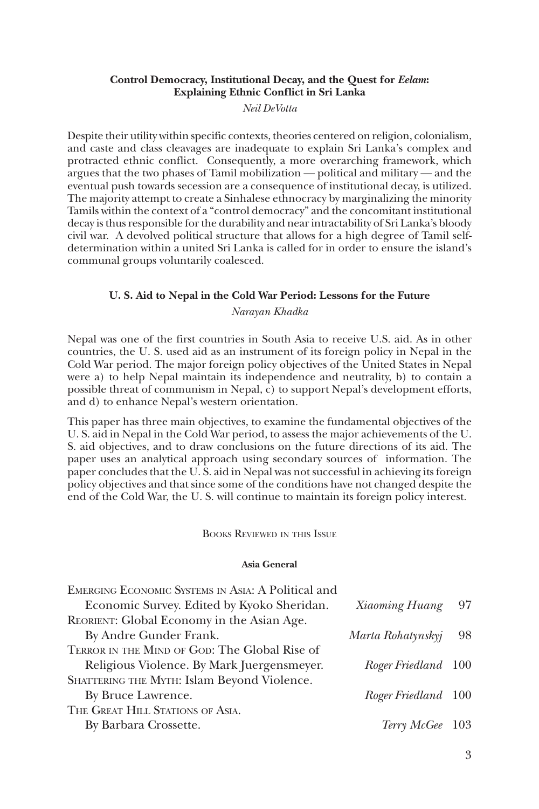### **Control Democracy, Institutional Decay, and the Quest for** *Eelam***: Explaining Ethnic Conflict in Sri Lanka**

*Neil DeVotta*

Despite their utility within specific contexts, theories centered on religion, colonialism, and caste and class cleavages are inadequate to explain Sri Lanka's complex and protracted ethnic conflict. Consequently, a more overarching framework, which argues that the two phases of Tamil mobilization — political and military — and the eventual push towards secession are a consequence of institutional decay, is utilized. The majority attempt to create a Sinhalese ethnocracy by marginalizing the minority Tamils within the context of a "control democracy" and the concomitant institutional decay is thus responsible for the durability and near intractability of Sri Lanka's bloody civil war. A devolved political structure that allows for a high degree of Tamil selfdetermination within a united Sri Lanka is called for in order to ensure the island's communal groups voluntarily coalesced.

### **U. S. Aid to Nepal in the Cold War Period: Lessons for the Future**

*Narayan Khadka*

Nepal was one of the first countries in South Asia to receive U.S. aid. As in other countries, the U. S. used aid as an instrument of its foreign policy in Nepal in the Cold War period. The major foreign policy objectives of the United States in Nepal were a) to help Nepal maintain its independence and neutrality, b) to contain a possible threat of communism in Nepal, c) to support Nepal's development efforts, and d) to enhance Nepal's western orientation.

This paper has three main objectives, to examine the fundamental objectives of the U. S. aid in Nepal in the Cold War period, to assess the major achievements of the U. S. aid objectives, and to draw conclusions on the future directions of its aid. The paper uses an analytical approach using secondary sources of information. The paper concludes that the U. S. aid in Nepal was not successful in achieving its foreign policy objectives and that since some of the conditions have not changed despite the end of the Cold War, the U. S. will continue to maintain its foreign policy interest.

### BOOKS REVIEWED IN THIS ISSUE

### **Asia General**

| EMERGING ECONOMIC SYSTEMS IN ASIA: A Political and |                     |    |
|----------------------------------------------------|---------------------|----|
| Economic Survey. Edited by Kyoko Sheridan.         | Xiaoming Huang      | 97 |
| REORIENT: Global Economy in the Asian Age.         |                     |    |
| By Andre Gunder Frank.                             | Marta Rohatynskyj   | 98 |
| TERROR IN THE MIND OF GOD: The Global Rise of      |                     |    |
| Religious Violence. By Mark Juergensmeyer.         | Roger Friedland 100 |    |
| SHATTERING THE MYTH: Islam Beyond Violence.        |                     |    |
| By Bruce Lawrence.                                 | Roger Friedland 100 |    |
| THE GREAT HILL STATIONS OF ASIA.                   |                     |    |
| By Barbara Crossette.                              | Terry McGee 103     |    |
|                                                    |                     |    |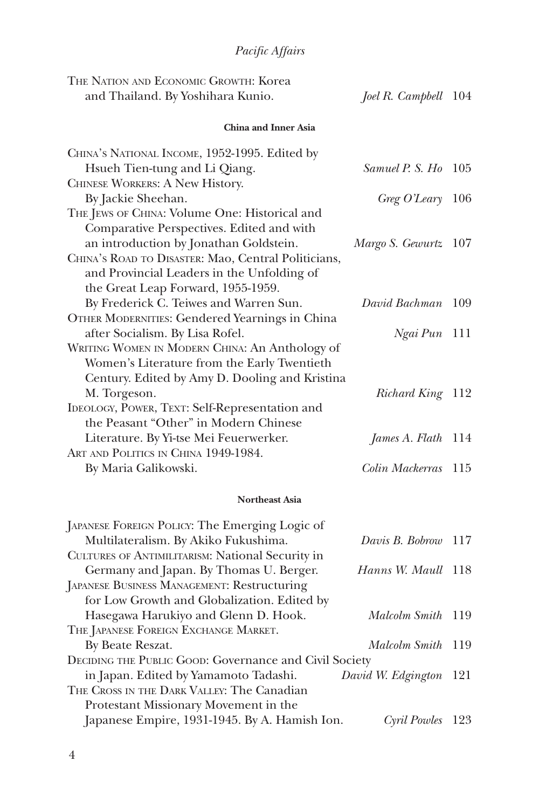| THE NATION AND ECONOMIC GROWTH: Korea                                             |                      |     |
|-----------------------------------------------------------------------------------|----------------------|-----|
| and Thailand. By Yoshihara Kunio.                                                 | Joel R. Campbell 104 |     |
| <b>China and Inner Asia</b>                                                       |                      |     |
| CHINA's NATIONAL INCOME, 1952-1995. Edited by                                     |                      |     |
| Hsueh Tien-tung and Li Qiang.                                                     | Samuel P. S. Ho      | 105 |
| CHINESE WORKERS: A New History.                                                   |                      |     |
| By Jackie Sheehan.<br>THE JEWS OF CHINA: Volume One: Historical and               | Greg O'Leary         | 106 |
| Comparative Perspectives. Edited and with                                         |                      |     |
| an introduction by Jonathan Goldstein.                                            | Margo S. Gewurtz     | 107 |
| CHINA's ROAD TO DISASTER: Mao, Central Politicians,                               |                      |     |
| and Provincial Leaders in the Unfolding of                                        |                      |     |
| the Great Leap Forward, 1955-1959.                                                |                      |     |
| By Frederick C. Teiwes and Warren Sun.                                            | David Bachman        | 109 |
| OTHER MODERNITIES: Gendered Yearnings in China                                    |                      |     |
| after Socialism. By Lisa Rofel.<br>WRITING WOMEN IN MODERN CHINA: An Anthology of | Ngai Pun             | 111 |
| Women's Literature from the Early Twentieth                                       |                      |     |
| Century. Edited by Amy D. Dooling and Kristina                                    |                      |     |
| M. Torgeson.                                                                      | <b>Richard King</b>  | 112 |
| IDEOLOGY, POWER, TEXT: Self-Representation and                                    |                      |     |
| the Peasant "Other" in Modern Chinese                                             |                      |     |
| Literature. By Yi-tse Mei Feuerwerker.                                            | James A. Flath       | 114 |
| ART AND POLITICS IN CHINA 1949-1984.                                              | Colin Mackerras      | 115 |
| By Maria Galikowski.                                                              |                      |     |
| <b>Northeast Asia</b>                                                             |                      |     |
| JAPANESE FOREIGN POLICY: The Emerging Logic of                                    |                      |     |
| Multilateralism. By Akiko Fukushima.                                              | Davis B. Bobrow      | 117 |
| CULTURES OF ANTIMILITARISM: National Security in                                  |                      |     |
| Germany and Japan. By Thomas U. Berger.                                           | Hanns W. Maull       | 118 |
| JAPANESE BUSINESS MANAGEMENT: Restructuring                                       |                      |     |
| for Low Growth and Globalization. Edited by                                       |                      |     |
| Hasegawa Harukiyo and Glenn D. Hook.<br>THE JAPANESE FOREIGN EXCHANGE MARKET.     | <b>Malcolm Smith</b> | 119 |
| By Beate Reszat.                                                                  | Malcolm Smith        | 119 |
| DECIDING THE PUBLIC GOOD: Governance and Civil Society                            |                      |     |
| in Japan. Edited by Yamamoto Tadashi.                                             | David W. Edgington   | 121 |
| THE CROSS IN THE DARK VALLEY: The Canadian                                        |                      |     |
| Protestant Missionary Movement in the                                             |                      |     |
| Japanese Empire, 1931-1945. By A. Hamish Ion.                                     | Cyril Powles         | 123 |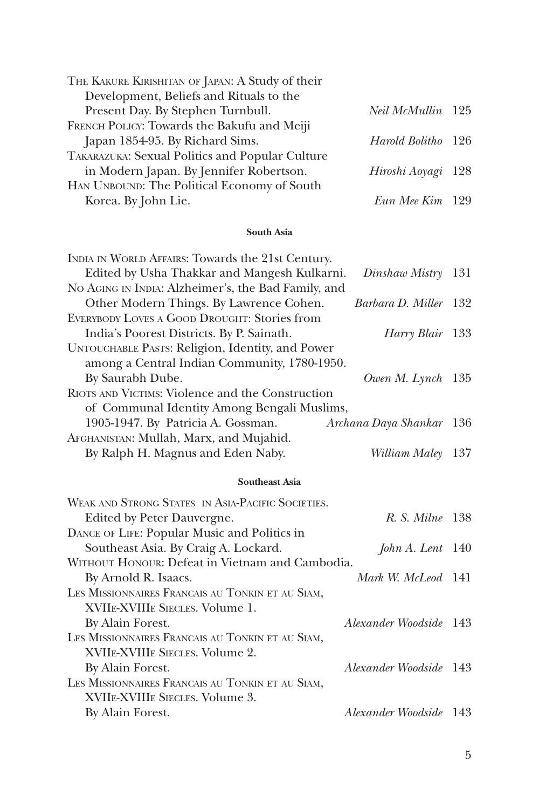| THE KAKURE KIRISHITAN OF JAPAN: A Study of their |                    |  |
|--------------------------------------------------|--------------------|--|
| Development, Beliefs and Rituals to the          |                    |  |
| Present Day. By Stephen Turnbull.                | Neil McMullin 125  |  |
| FRENCH POLICY: Towards the Bakufu and Meiji      |                    |  |
| Japan 1854-95. By Richard Sims.                  | Harold Bolitho 126 |  |
| TAKARAZUKA: Sexual Politics and Popular Culture  |                    |  |
| in Modern Japan. By Jennifer Robertson.          | Hiroshi Aoyagi 128 |  |
| HAN UNBOUND: The Political Economy of South      |                    |  |
| Korea. By John Lie.                              | Eun Mee Kim 129    |  |
|                                                  |                    |  |

### **South Asia**

| INDIA IN WORLD AFFAIRS: Towards the 21st Century.   |                          |     |
|-----------------------------------------------------|--------------------------|-----|
| Edited by Usha Thakkar and Mangesh Kulkarni.        | $Dinshaw$ Mistry 131     |     |
| No AGING IN INDIA: Alzheimer's, the Bad Family, and |                          |     |
| Other Modern Things. By Lawrence Cohen.             | Barbara D. Miller 132    |     |
| EVERYBODY LOVES A GOOD DROUGHT: Stories from        |                          |     |
| India's Poorest Districts. By P. Sainath.           | Harry Blair 133          |     |
| UNTOUCHABLE PASTS: Religion, Identity, and Power    |                          |     |
| among a Central Indian Community, 1780-1950.        |                          |     |
| By Saurabh Dube.                                    | Owen M. Lynch $135$      |     |
| RIOTS AND VICTIMS: Violence and the Construction    |                          |     |
| of Communal Identity Among Bengali Muslims,         |                          |     |
| 1905-1947. By Patricia A. Gossman.                  | Archana Daya Shankar 136 |     |
| AFGHANISTAN: Mullah, Marx, and Mujahid.             |                          |     |
| By Ralph H. Magnus and Eden Naby.                   | William Maley            | 137 |
|                                                     |                          |     |

### **Southeast Asia**

| <b>WEAK AND STRONG STATES IN ASIA-PACIFIC SOCIETIES.</b> |                        |  |
|----------------------------------------------------------|------------------------|--|
| Edited by Peter Dauvergne.                               | R. S. Milne 138        |  |
| DANCE OF LIFE: Popular Music and Politics in             |                        |  |
| Southeast Asia. By Craig A. Lockard.                     | John A. Lent $140$     |  |
| WITHOUT HONOUR: Defeat in Vietnam and Cambodia.          |                        |  |
| By Arnold R. Isaacs.                                     | Mark W. McLeod 141     |  |
| LES MISSIONNAIRES FRANCAIS AU TONKIN ET AU SIAM,         |                        |  |
| XVIIE-XVIIIE SIECLES. Volume 1.                          |                        |  |
| By Alain Forest.                                         | Alexander Woodside 143 |  |
| LES MISSIONNAIRES FRANCAIS AU TONKIN ET AU SIAM,         |                        |  |
| XVIIE-XVIIIE SIECLES. Volume 2.                          |                        |  |
| By Alain Forest.                                         | Alexander Woodside 143 |  |
| LES MISSIONNAIRES FRANCAIS AU TONKIN ET AU SIAM,         |                        |  |
| XVIIE-XVIIIE SIECLES. Volume 3.                          |                        |  |
| By Alain Forest.                                         | Alexander Woodside 143 |  |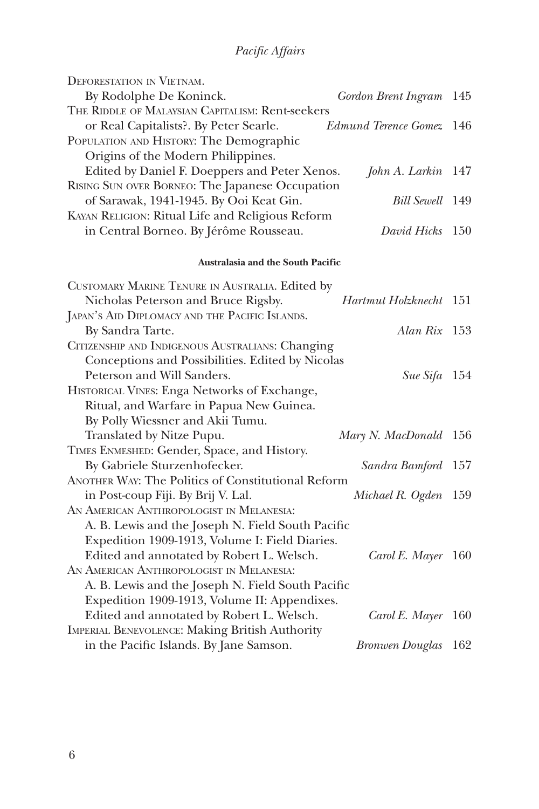| DEFORESTATION IN VIETNAM.                        |                          |  |
|--------------------------------------------------|--------------------------|--|
| By Rodolphe De Koninck.                          | Gordon Brent Ingram 145  |  |
| THE RIDDLE OF MALAYSIAN CAPITALISM: Rent-seekers |                          |  |
| or Real Capitalists?. By Peter Searle.           | Edmund Terence Gomez 146 |  |
| POPULATION AND HISTORY: The Demographic          |                          |  |
| Origins of the Modern Philippines.               |                          |  |
| Edited by Daniel F. Doeppers and Peter Xenos.    | John A. Larkin 147       |  |
| RISING SUN OVER BORNEO: The Japanese Occupation  |                          |  |
| of Sarawak, 1941-1945. By Ooi Keat Gin.          | Bill Sewell 149          |  |
| KAYAN RELIGION: Ritual Life and Religious Reform |                          |  |
| in Central Borneo. By Jérôme Rousseau.           | David Hicks 150          |  |
|                                                  |                          |  |

### **Australasia and the South Pacific**

| CUSTOMARY MARINE TENURE IN AUSTRALIA. Edited by           |                        |     |
|-----------------------------------------------------------|------------------------|-----|
| Nicholas Peterson and Bruce Rigsby.                       | Hartmut Holzknecht 151 |     |
| JAPAN'S AID DIPLOMACY AND THE PACIFIC ISLANDS.            |                        |     |
| By Sandra Tarte.                                          | Alan Rix 153           |     |
| CITIZENSHIP AND INDIGENOUS AUSTRALIANS: Changing          |                        |     |
| Conceptions and Possibilities. Edited by Nicolas          |                        |     |
| Peterson and Will Sanders.                                | Sue Sifa 154           |     |
| HISTORICAL VINES: Enga Networks of Exchange,              |                        |     |
| Ritual, and Warfare in Papua New Guinea.                  |                        |     |
| By Polly Wiessner and Akii Tumu.                          |                        |     |
| Translated by Nitze Pupu.                                 | Mary N. MacDonald 156  |     |
| TIMES ENMESHED: Gender, Space, and History.               |                        |     |
| By Gabriele Sturzenhofecker.                              | Sandra Bamford 157     |     |
| <b>ANOTHER WAY: The Politics of Constitutional Reform</b> |                        |     |
| in Post-coup Fiji. By Brij V. Lal.                        | Michael R. Ogden 159   |     |
| AN AMERICAN ANTHROPOLOGIST IN MELANESIA:                  |                        |     |
| A. B. Lewis and the Joseph N. Field South Pacific         |                        |     |
| Expedition 1909-1913, Volume I: Field Diaries.            |                        |     |
| Edited and annotated by Robert L. Welsch.                 | Carol E. Mayer 160     |     |
| AN AMERICAN ANTHROPOLOGIST IN MELANESIA:                  |                        |     |
| A. B. Lewis and the Joseph N. Field South Pacific         |                        |     |
| Expedition 1909-1913, Volume II: Appendixes.              |                        |     |
| Edited and annotated by Robert L. Welsch.                 | Carol E. Mayer         | 160 |
| <b>IMPERIAL BENEVOLENCE: Making British Authority</b>     |                        |     |
| in the Pacific Islands. By Jane Samson.                   | Bronwen Douglas        | 162 |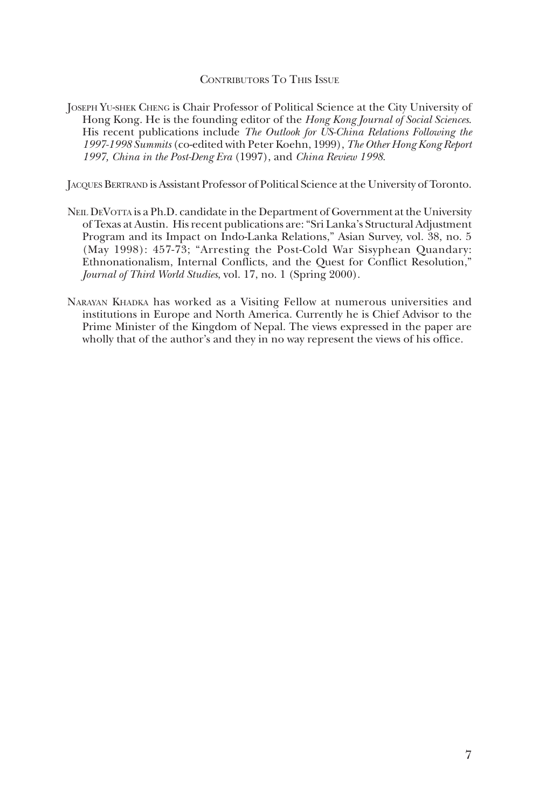### CONTRIBUTORS TO THIS ISSUE

JOSEPH YU-SHEK CHENG is Chair Professor of Political Science at the City University of Hong Kong. He is the founding editor of the *Hong Kong Journal of Social Sciences*. His recent publications include *The Outlook for US-China Relations Following the 1997-1998 Summits* (co-edited with Peter Koehn, 1999), *The Other Hong Kong Report 1997, China in the Post-Deng Era* (1997), and *China Review 1998*.

JACQUES BERTRAND is Assistant Professor of Political Science at the University of Toronto.

- NEIL DEVOTTA is a Ph.D. candidate in the Department of Government at the University of Texas at Austin. His recent publications are: "Sri Lanka's Structural Adjustment Program and its Impact on Indo-Lanka Relations," Asian Survey, vol. 38, no. 5 (May 1998): 457-73; "Arresting the Post-Cold War Sisyphean Quandary: Ethnonationalism, Internal Conflicts, and the Quest for Conflict Resolution," *Journal of Third World Studies*, vol. 17, no. 1 (Spring 2000).
- NARAYAN KHADKA has worked as a Visiting Fellow at numerous universities and institutions in Europe and North America. Currently he is Chief Advisor to the Prime Minister of the Kingdom of Nepal. The views expressed in the paper are wholly that of the author's and they in no way represent the views of his office.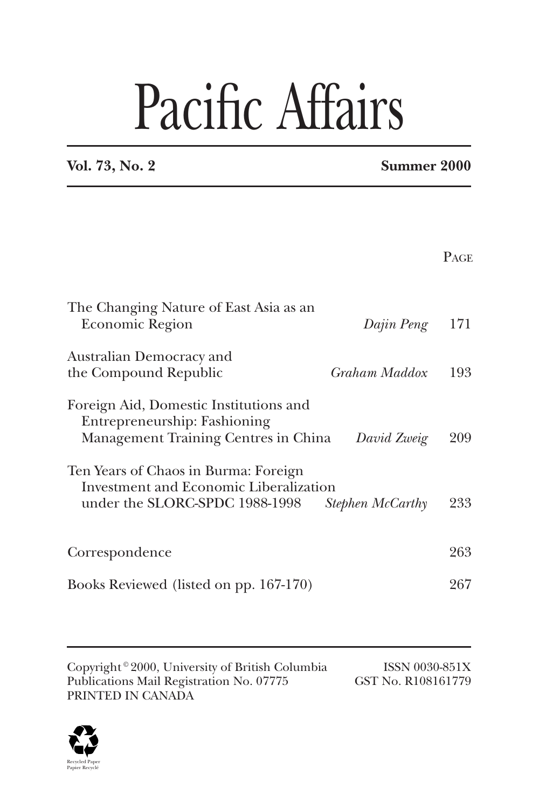### **Vol. 73, No. 2 Summer 2000**

PAGE

The Changing Nature of East Asia as an Economic Region *Dajin Peng* 171 Australian Democracy and the Compound Republic *Graham Maddox* 193 Foreign Aid, Domestic Institutions and Entrepreneurship: Fashioning Management Training Centres in China *David Zweig* 209 Ten Years of Chaos in Burma: Foreign Investment and Economic Liberalization under the SLORC-SPDC 1988-1998 *Stephen McCarthy* 233 Correspondence 263 Books Reviewed (listed on pp. 167-170) 267

| Copyright <sup>®</sup> 2000, University of British Columbia | <b>ISSN 0030-851X</b> |
|-------------------------------------------------------------|-----------------------|
| Publications Mail Registration No. 07775                    | GST No. R108161779    |
| PRINTED IN CANADA                                           |                       |

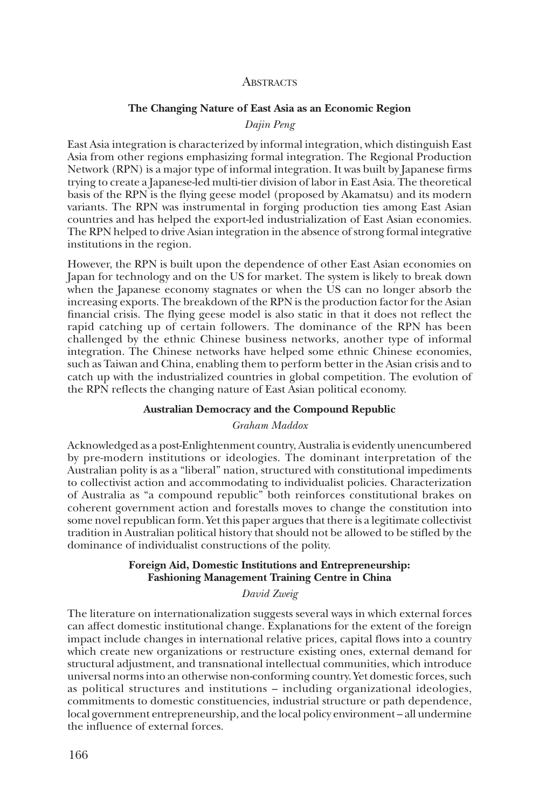### **ABSTRACTS**

### **The Changing Nature of East Asia as an Economic Region**

### *Dajin Peng*

East Asia integration is characterized by informal integration, which distinguish East Asia from other regions emphasizing formal integration. The Regional Production Network (RPN) is a major type of informal integration. It was built by Japanese firms trying to create a Japanese-led multi-tier division of labor in East Asia. The theoretical basis of the RPN is the flying geese model (proposed by Akamatsu) and its modern variants. The RPN was instrumental in forging production ties among East Asian countries and has helped the export-led industrialization of East Asian economies. The RPN helped to drive Asian integration in the absence of strong formal integrative institutions in the region.

However, the RPN is built upon the dependence of other East Asian economies on Japan for technology and on the US for market. The system is likely to break down when the Japanese economy stagnates or when the US can no longer absorb the increasing exports. The breakdown of the RPN is the production factor for the Asian financial crisis. The flying geese model is also static in that it does not reflect the rapid catching up of certain followers. The dominance of the RPN has been challenged by the ethnic Chinese business networks, another type of informal integration. The Chinese networks have helped some ethnic Chinese economies, such as Taiwan and China, enabling them to perform better in the Asian crisis and to catch up with the industrialized countries in global competition. The evolution of the RPN reflects the changing nature of East Asian political economy.

### **Australian Democracy and the Compound Republic**

### *Graham Maddox*

Acknowledged as a post-Enlightenment country, Australia is evidently unencumbered by pre-modern institutions or ideologies. The dominant interpretation of the Australian polity is as a "liberal" nation, structured with constitutional impediments to collectivist action and accommodating to individualist policies. Characterization of Australia as "a compound republic" both reinforces constitutional brakes on coherent government action and forestalls moves to change the constitution into some novel republican form. Yet this paper argues that there is a legitimate collectivist tradition in Australian political history that should not be allowed to be stifled by the dominance of individualist constructions of the polity.

### **Foreign Aid, Domestic Institutions and Entrepreneurship: Fashioning Management Training Centre in China**

### *David Zweig*

The literature on internationalization suggests several ways in which external forces can affect domestic institutional change. Explanations for the extent of the foreign impact include changes in international relative prices, capital flows into a country which create new organizations or restructure existing ones, external demand for structural adjustment, and transnational intellectual communities, which introduce universal norms into an otherwise non-conforming country. Yet domestic forces, such as political structures and institutions – including organizational ideologies, commitments to domestic constituencies, industrial structure or path dependence, local government entrepreneurship, and the local policy environment – all undermine the influence of external forces.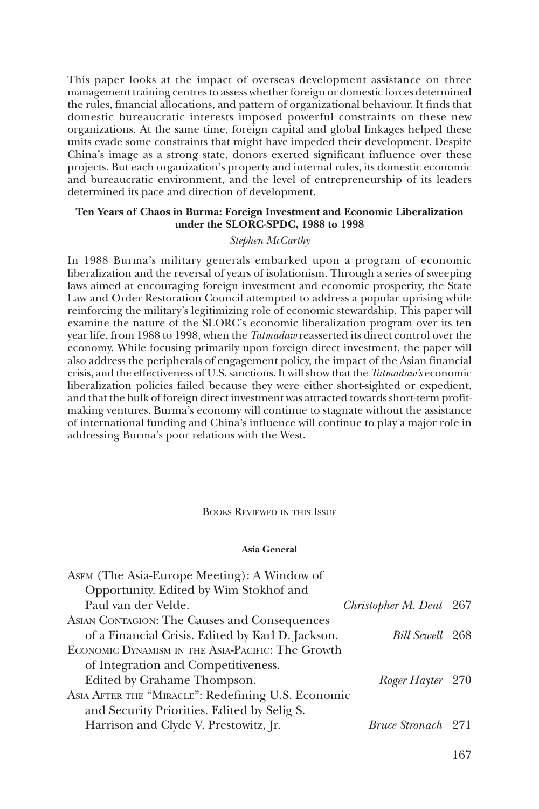This paper looks at the impact of overseas development assistance on three management training centres to assess whether foreign or domestic forces determined the rules, financial allocations, and pattern of organizational behaviour. It finds that domestic bureaucratic interests imposed powerful constraints on these new organizations. At the same time, foreign capital and global linkages helped these units evade some constraints that might have impeded their development. Despite China's image as a strong state, donors exerted significant influence over these projects. But each organization's property and internal rules, its domestic economic and bureaucratic environment, and the level of entrepreneurship of its leaders determined its pace and direction of development.

### **Ten Years of Chaos in Burma: Foreign Investment and Economic Liberalization under the SLORC-SPDC, 1988 to 1998**

### *Stephen McCarthy*

In 1988 Burma's military generals embarked upon a program of economic liberalization and the reversal of years of isolationism. Through a series of sweeping laws aimed at encouraging foreign investment and economic prosperity, the State Law and Order Restoration Council attempted to address a popular uprising while reinforcing the military's legitimizing role of economic stewardship. This paper will examine the nature of the SLORC's economic liberalization program over its ten year life, from 1988 to 1998, when the *Tatmadaw* reasserted its direct control over the economy. While focusing primarily upon foreign direct investment, the paper will also address the peripherals of engagement policy, the impact of the Asian financial crisis, and the effectiveness of U.S. sanctions. It will show that the *Tatmadaw's* economic liberalization policies failed because they were either short-sighted or expedient, and that the bulk of foreign direct investment was attracted towards short-term profitmaking ventures. Burma's economy will continue to stagnate without the assistance of international funding and China's influence will continue to play a major role in addressing Burma's poor relations with the West.

BOOKS REVIEWED IN THIS ISSUE

### **Asia General**

| ASEM (The Asia-Europe Meeting): A Window of        |                         |  |
|----------------------------------------------------|-------------------------|--|
| Opportunity. Edited by Wim Stokhof and             |                         |  |
| Paul van der Velde.                                | Christopher M. Dent 267 |  |
| ASIAN CONTAGION: The Causes and Consequences       |                         |  |
| of a Financial Crisis. Edited by Karl D. Jackson.  | Bill Sewell 268         |  |
| ECONOMIC DYNAMISM IN THE ASIA-PACIFIC: The Growth  |                         |  |
| of Integration and Competitiveness.                |                         |  |
| Edited by Grahame Thompson.                        | Roger Hayter 270        |  |
| ASIA AFTER THE "MIRACLE": Redefining U.S. Economic |                         |  |
| and Security Priorities. Edited by Selig S.        |                         |  |
| Harrison and Clyde V. Prestowitz, Jr.              | Bruce Stronach 271      |  |
|                                                    |                         |  |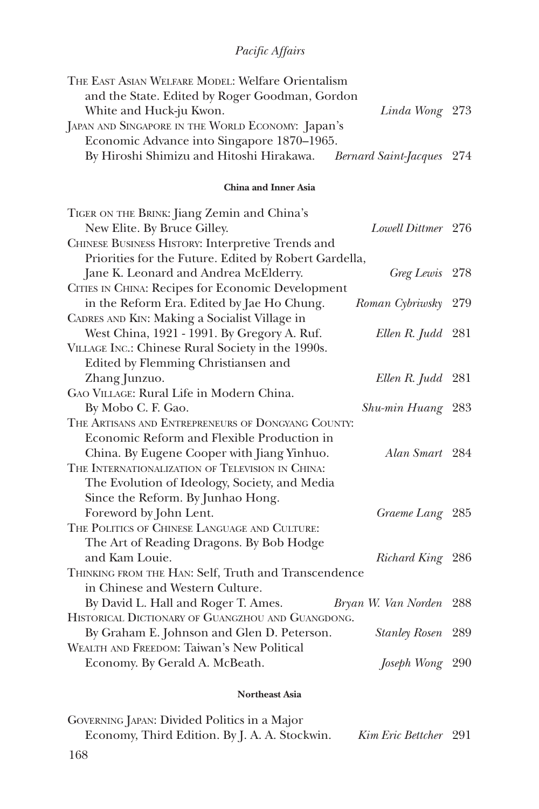| THE EAST ASIAN WELFARE MODEL: Welfare Orientalism                  |                |  |
|--------------------------------------------------------------------|----------------|--|
| and the State. Edited by Roger Goodman, Gordon                     |                |  |
| White and Huck-ju Kwon.                                            | Linda Wong 273 |  |
| JAPAN AND SINGAPORE IN THE WORLD ECONOMY: Japan's                  |                |  |
| Economic Advance into Singapore 1870–1965.                         |                |  |
| By Hiroshi Shimizu and Hitoshi Hirakawa. Bernard Saint-Jacques 274 |                |  |

### **China and Inner Asia**

| TIGER ON THE BRINK: Jiang Zemin and China's           |                          |      |
|-------------------------------------------------------|--------------------------|------|
| New Elite. By Bruce Gilley.                           | Lowell Dittmer 276       |      |
| CHINESE BUSINESS HISTORY: Interpretive Trends and     |                          |      |
| Priorities for the Future. Edited by Robert Gardella, |                          |      |
| Jane K. Leonard and Andrea McElderry.                 | Greg Lewis 278           |      |
| CITIES IN CHINA: Recipes for Economic Development     |                          |      |
| in the Reform Era. Edited by Jae Ho Chung.            | Roman Cybriwsky 279      |      |
| CADRES AND KIN: Making a Socialist Village in         |                          |      |
| West China, 1921 - 1991. By Gregory A. Ruf.           | Ellen R. Judd 281        |      |
| VILLAGE INC.: Chinese Rural Society in the 1990s.     |                          |      |
| Edited by Flemming Christiansen and                   |                          |      |
| Zhang Junzuo.                                         | Ellen R. Judd 281        |      |
| GAO VILLAGE: Rural Life in Modern China.              |                          |      |
| By Mobo C. F. Gao.                                    | Shu-min Huang 283        |      |
| THE ARTISANS AND ENTREPRENEURS OF DONGYANG COUNTY:    |                          |      |
| Economic Reform and Flexible Production in            |                          |      |
| China. By Eugene Cooper with Jiang Yinhuo.            | Alan Smart 284           |      |
| THE INTERNATIONALIZATION OF TELEVISION IN CHINA:      |                          |      |
| The Evolution of Ideology, Society, and Media         |                          |      |
| Since the Reform. By Junhao Hong.                     |                          |      |
| Foreword by John Lent.                                | Graeme Lang 285          |      |
| THE POLITICS OF CHINESE LANGUAGE AND CULTURE:         |                          |      |
| The Art of Reading Dragons. By Bob Hodge              |                          |      |
| and Kam Louie.                                        | Richard King 286         |      |
| THINKING FROM THE HAN: Self, Truth and Transcendence  |                          |      |
| in Chinese and Western Culture.                       |                          |      |
| By David L. Hall and Roger T. Ames.                   | Bryan W. Van Norden      | -288 |
| HISTORICAL DICTIONARY OF GUANGZHOU AND GUANGDONG.     |                          |      |
| By Graham E. Johnson and Glen D. Peterson.            | <b>Stanley Rosen</b> 289 |      |
| <b>WEALTH AND FREEDOM: Taiwan's New Political</b>     |                          |      |
| Economy. By Gerald A. McBeath.                        | Joseph Wong 290          |      |
|                                                       |                          |      |

### **Northeast Asia**

| GOVERNING JAPAN: Divided Politics in a Major  |                       |  |
|-----------------------------------------------|-----------------------|--|
| Economy, Third Edition. By J. A. A. Stockwin. | Kim Eric Bettcher 291 |  |
| -168                                          |                       |  |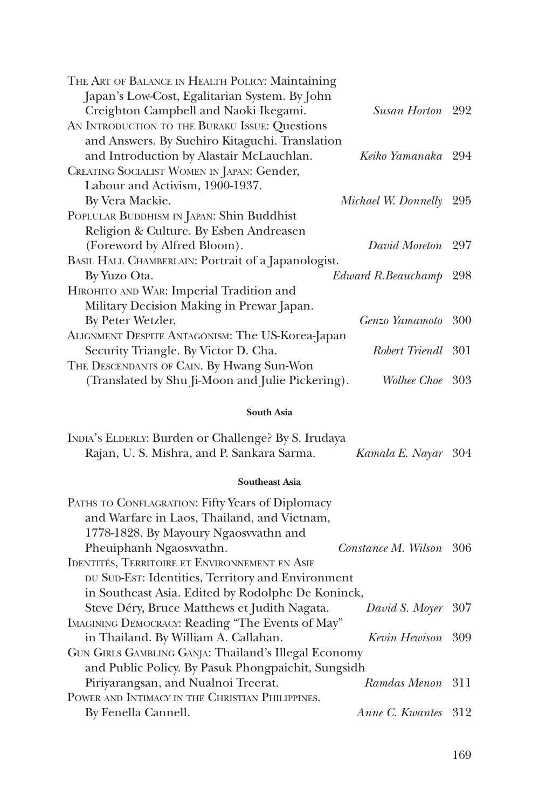| THE ART OF BALANCE IN HEALTH POLICY: Maintaining    |                        |      |
|-----------------------------------------------------|------------------------|------|
| Japan's Low-Cost, Egalitarian System. By John       |                        |      |
| Creighton Campbell and Naoki Ikegami.               | Susan Horton 292       |      |
| AN INTRODUCTION TO THE BURAKU ISSUE: Questions      |                        |      |
| and Answers. By Suehiro Kitaguchi. Translation      |                        |      |
| and Introduction by Alastair McLauchlan.            | Keiko Yamanaka 294     |      |
| CREATING SOCIALIST WOMEN IN JAPAN: Gender,          |                        |      |
| Labour and Activism, 1900-1937.                     |                        |      |
| By Vera Mackie.                                     | Michael W. Donnelly    | -295 |
| POPLULAR BUDDHISM IN JAPAN: Shin Buddhist           |                        |      |
| Religion & Culture. By Esben Andreasen              |                        |      |
| (Foreword by Alfred Bloom).                         | David Moreton 297      |      |
| BASIL HALL CHAMBERLAIN: Portrait of a Japanologist. |                        |      |
| By Yuzo Ota.                                        | Edward R.Beauchamp     | -298 |
| HIROHITO AND WAR: Imperial Tradition and            |                        |      |
| Military Decision Making in Prewar Japan.           |                        |      |
| By Peter Wetzler.                                   | Genzo Yamamoto 300     |      |
| ALIGNMENT DESPITE ANTAGONISM: The US-Korea-Japan    |                        |      |
| Security Triangle. By Victor D. Cha.                | Robert Triendl 301     |      |
| THE DESCENDANTS OF CAIN. By Hwang Sun-Won           |                        |      |
| (Translated by Shu Ji-Moon and Julie Pickering).    | <i>Wolhee Choe</i> 303 |      |

### **South Asia**

| INDIA's ELDERLY: Burden or Challenge? By S. Irudaya |                     |  |
|-----------------------------------------------------|---------------------|--|
| Rajan, U. S. Mishra, and P. Sankara Sarma.          | Kamala E. Nayar 304 |  |

### **Southeast Asia**

| PATHS TO CONFLAGRATION: Fifty Years of Diplomacy        |                         |  |
|---------------------------------------------------------|-------------------------|--|
| and Warfare in Laos, Thailand, and Vietnam,             |                         |  |
| 1778-1828. By Mayoury Ngaoswathn and                    |                         |  |
| Pheuiphanh Ngaoswathn.                                  | Constance M. Wilson 306 |  |
| <b>IDENTITÉS, TERRITOIRE ET ENVIRONNEMENT EN ASIE</b>   |                         |  |
| DU SUD-EST: Identities, Territory and Environment       |                         |  |
| in Southeast Asia. Edited by Rodolphe De Koninck,       |                         |  |
| Steve Déry, Bruce Matthews et Judith Nagata.            | David S. Moyer 307      |  |
| <b>IMAGINING DEMOCRACY: Reading "The Events of May"</b> |                         |  |
| in Thailand. By William A. Callahan.                    | Kevin Hewison 309       |  |
| GUN GIRLS GAMBLING GANJA: Thailand's Illegal Economy    |                         |  |
| and Public Policy. By Pasuk Phongpaichit, Sungsidh      |                         |  |
| Piriyarangsan, and Nualnoi Treerat.                     | Ramdas Menon 311        |  |
| POWER AND INTIMACY IN THE CHRISTIAN PHILIPPINES.        |                         |  |
| By Fenella Cannell.                                     | Anne C. Kwantes 312     |  |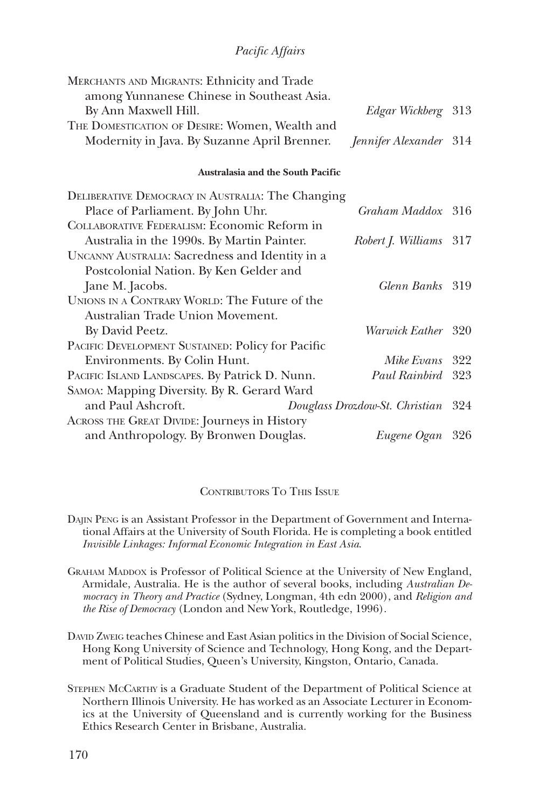| MERCHANTS AND MIGRANTS: Ethnicity and Trade       |                                |     |
|---------------------------------------------------|--------------------------------|-----|
| among Yunnanese Chinese in Southeast Asia.        |                                |     |
| By Ann Maxwell Hill.                              | Edgar Wickberg 313             |     |
| THE DOMESTICATION OF DESIRE: Women, Wealth and    |                                |     |
| Modernity in Java. By Suzanne April Brenner.      | Jennifer Alexander 314         |     |
| <b>Australasia and the South Pacific</b>          |                                |     |
| DELIBERATIVE DEMOCRACY IN AUSTRALIA: The Changing |                                |     |
| Place of Parliament. By John Uhr.                 | Graham Maddox 316              |     |
| COLLABORATIVE FEDERALISM: Economic Reform in      |                                |     |
| Australia in the 1990s. By Martin Painter.        | Robert J. Williams 317         |     |
| UNCANNY AUSTRALIA: Sacredness and Identity in a   |                                |     |
| Postcolonial Nation. By Ken Gelder and            |                                |     |
| Jane M. Jacobs.                                   | Glenn Banks 319                |     |
| UNIONS IN A CONTRARY WORLD: The Future of the     |                                |     |
| Australian Trade Union Movement.                  |                                |     |
| By David Peetz.                                   | Warwick Eather 320             |     |
| PACIFIC DEVELOPMENT SUSTAINED: Policy for Pacific |                                |     |
| Environments. By Colin Hunt.                      | Mike Evans 322                 |     |
| PACIFIC ISLAND LANDSCAPES. By Patrick D. Nunn.    | Paul Rainbird 323              |     |
| SAMOA: Mapping Diversity. By R. Gerard Ward       |                                |     |
| and Paul Ashcroft.                                | Douglass Drozdow-St. Christian | 324 |
| ACROSS THE GREAT DIVIDE: Journeys in History      |                                |     |
| and Anthropology. By Bronwen Douglas.             | Eugene Ogan 326                |     |

### CONTRIBUTORS TO THIS ISSUE

- GRAHAM MADDOX is Professor of Political Science at the University of New England, Armidale, Australia. He is the author of several books, including *Australian Democracy in Theory and Practice* (Sydney, Longman, 4th edn 2000), and *Religion and the Rise of Democracy* (London and New York, Routledge, 1996).
- DAVID ZWEIG teaches Chinese and East Asian politics in the Division of Social Science, Hong Kong University of Science and Technology, Hong Kong, and the Department of Political Studies, Queen's University, Kingston, Ontario, Canada.
- STEPHEN MCCARTHY is a Graduate Student of the Department of Political Science at Northern Illinois University. He has worked as an Associate Lecturer in Economics at the University of Queensland and is currently working for the Business Ethics Research Center in Brisbane, Australia.

DAJIN PENG is an Assistant Professor in the Department of Government and International Affairs at the University of South Florida. He is completing a book entitled *Invisible Linkages: Informal Economic Integration in East Asia*.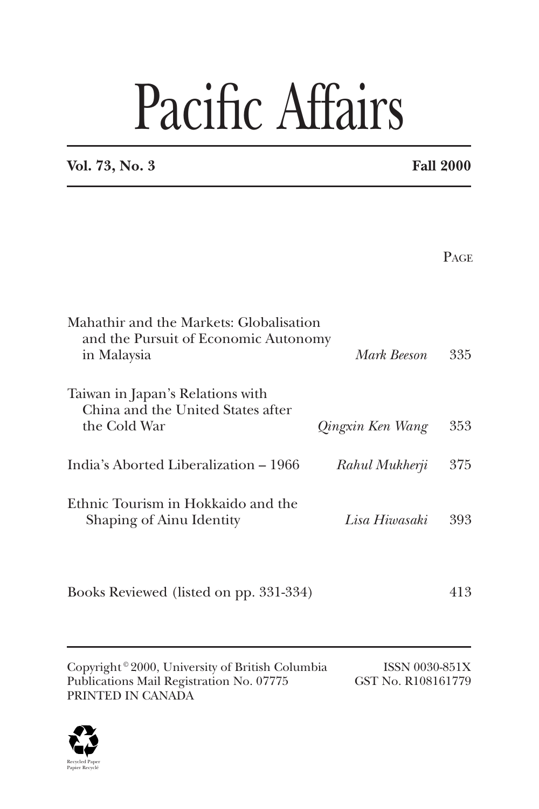**Vol. 73, No. 3 Fall 2000**

PAGE

| Mahathir and the Markets: Globalisation<br>and the Pursuit of Economic Autonomy<br>Mark Beeson | 335 |
|------------------------------------------------------------------------------------------------|-----|
| Qingxin Ken Wang                                                                               | 353 |
| Rahul Mukherji                                                                                 | 375 |
| Lisa Hiwasaki                                                                                  | 393 |
| Books Reviewed (listed on pp. 331-334)                                                         | 413 |
|                                                                                                |     |

Copyright © 2000, University of British Columbia ISSN 0030-851X<br>Publications Mail Registration No. 07775 GST No. R108161779 Publications Mail Registration No. 07775 PRINTED IN CANADA

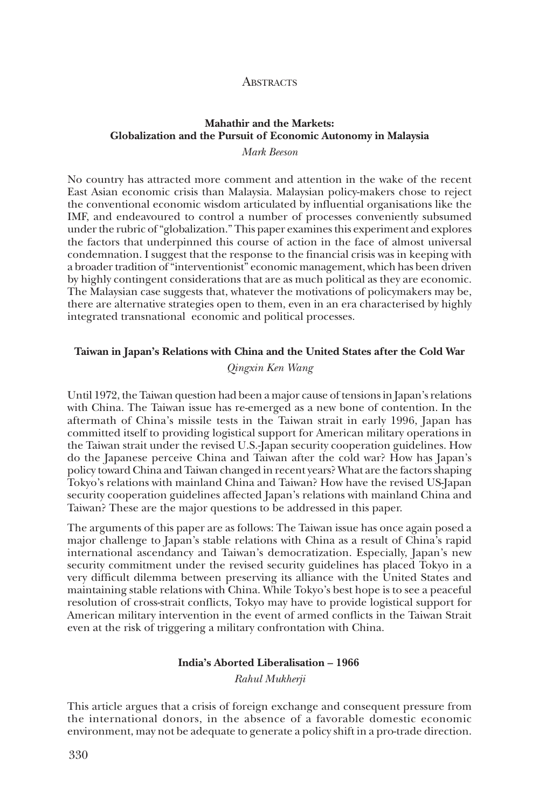### **ABSTRACTS**

### **Mahathir and the Markets: Globalization and the Pursuit of Economic Autonomy in Malaysia**

*Mark Beeson*

No country has attracted more comment and attention in the wake of the recent East Asian economic crisis than Malaysia. Malaysian policy-makers chose to reject the conventional economic wisdom articulated by influential organisations like the IMF, and endeavoured to control a number of processes conveniently subsumed under the rubric of "globalization." This paper examines this experiment and explores the factors that underpinned this course of action in the face of almost universal condemnation. I suggest that the response to the financial crisis was in keeping with a broader tradition of "interventionist" economic management, which has been driven by highly contingent considerations that are as much political as they are economic. The Malaysian case suggests that, whatever the motivations of policymakers may be, there are alternative strategies open to them, even in an era characterised by highly integrated transnational economic and political processes.

### **Taiwan in Japan's Relations with China and the United States after the Cold War**

*Qingxin Ken Wang*

Until 1972, the Taiwan question had been a major cause of tensions in Japan's relations with China. The Taiwan issue has re-emerged as a new bone of contention. In the aftermath of China's missile tests in the Taiwan strait in early 1996, Japan has committed itself to providing logistical support for American military operations in the Taiwan strait under the revised U.S.-Japan security cooperation guidelines. How do the Japanese perceive China and Taiwan after the cold war? How has Japan's policy toward China and Taiwan changed in recent years? What are the factors shaping Tokyo's relations with mainland China and Taiwan? How have the revised US-Japan security cooperation guidelines affected Japan's relations with mainland China and Taiwan? These are the major questions to be addressed in this paper.

The arguments of this paper are as follows: The Taiwan issue has once again posed a major challenge to Japan's stable relations with China as a result of China's rapid international ascendancy and Taiwan's democratization. Especially, Japan's new security commitment under the revised security guidelines has placed Tokyo in a very difficult dilemma between preserving its alliance with the United States and maintaining stable relations with China. While Tokyo's best hope is to see a peaceful resolution of cross-strait conflicts, Tokyo may have to provide logistical support for American military intervention in the event of armed conflicts in the Taiwan Strait even at the risk of triggering a military confrontation with China.

### **India's Aborted Liberalisation – 1966**

*Rahul Mukherji*

This article argues that a crisis of foreign exchange and consequent pressure from the international donors, in the absence of a favorable domestic economic environment, may not be adequate to generate a policy shift in a pro-trade direction.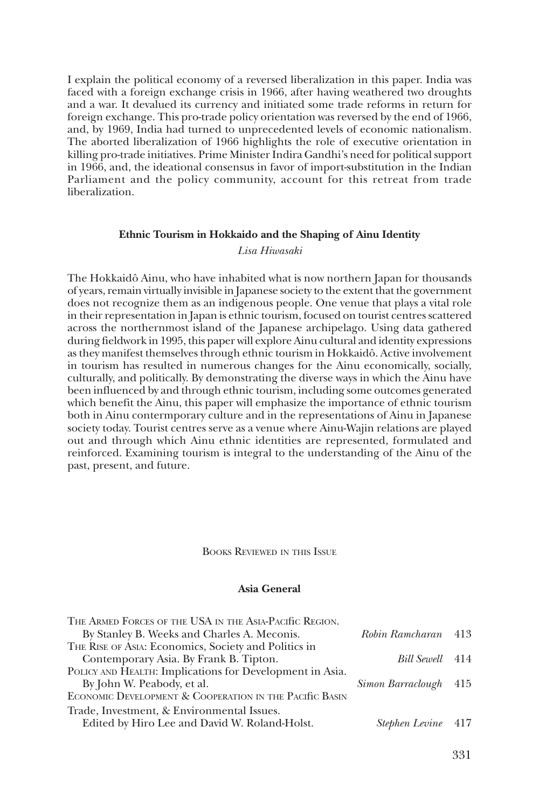I explain the political economy of a reversed liberalization in this paper. India was faced with a foreign exchange crisis in 1966, after having weathered two droughts and a war. It devalued its currency and initiated some trade reforms in return for foreign exchange. This pro-trade policy orientation was reversed by the end of 1966, and, by 1969, India had turned to unprecedented levels of economic nationalism. The aborted liberalization of 1966 highlights the role of executive orientation in killing pro-trade initiatives. Prime Minister Indira Gandhi's need for political support in 1966, and, the ideational consensus in favor of import-substitution in the Indian Parliament and the policy community, account for this retreat from trade liberalization.

### **Ethnic Tourism in Hokkaido and the Shaping of Ainu Identity**

*Lisa Hiwasaki*

The Hokkaidô Ainu, who have inhabited what is now northern Japan for thousands of years, remain virtually invisible in Japanese society to the extent that the government does not recognize them as an indigenous people. One venue that plays a vital role in their representation in Japan is ethnic tourism, focused on tourist centres scattered across the northernmost island of the Japanese archipelago. Using data gathered during fieldwork in 1995, this paper will explore Ainu cultural and identity expressions as they manifest themselves through ethnic tourism in Hokkaidô. Active involvement in tourism has resulted in numerous changes for the Ainu economically, socially, culturally, and politically. By demonstrating the diverse ways in which the Ainu have been influenced by and through ethnic tourism, including some outcomes generated which benefit the Ainu, this paper will emphasize the importance of ethnic tourism both in Ainu contermporary culture and in the representations of Ainu in Japanese society today. Tourist centres serve as a venue where Ainu-Wajin relations are played out and through which Ainu ethnic identities are represented, formulated and reinforced. Examining tourism is integral to the understanding of the Ainu of the past, present, and future.

#### BOOKS REVIEWED IN THIS ISSUE

### **Asia General**

| THE ARMED FORCES OF THE USA IN THE ASIA-PACIFIC REGION.  |                       |  |
|----------------------------------------------------------|-----------------------|--|
| By Stanley B. Weeks and Charles A. Meconis.              | Robin Ramcharan 413   |  |
| THE RISE OF ASIA: Economics, Society and Politics in     |                       |  |
| Contemporary Asia. By Frank B. Tipton.                   | Bill Sewell 414       |  |
| POLICY AND HEALTH: Implications for Development in Asia. |                       |  |
| By John W. Peabody, et al.                               | Simon Barraclough 415 |  |
| ECONOMIC DEVELOPMENT & COOPERATION IN THE PACIFIC BASIN  |                       |  |
| Trade, Investment, & Environmental Issues.               |                       |  |
| Edited by Hiro Lee and David W. Roland-Holst.            | Stephen Levine 417    |  |
|                                                          |                       |  |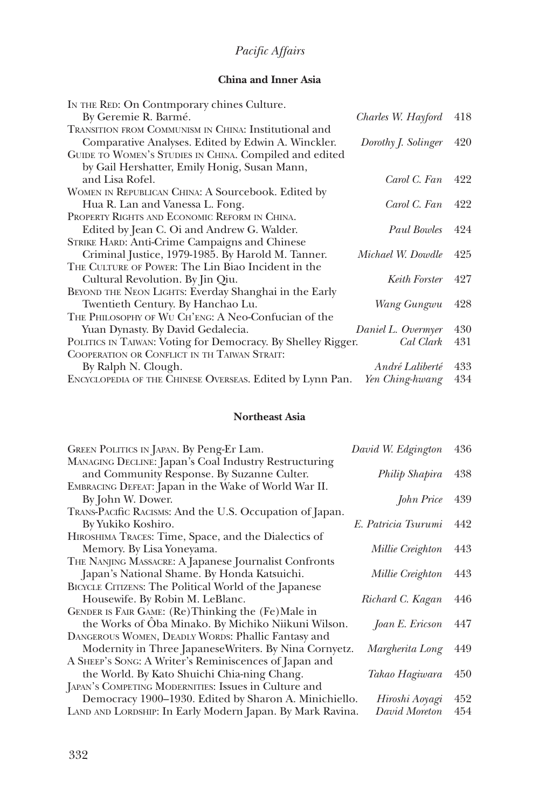### **China and Inner Asia**

| IN THE RED: On Contmporary chines Culture.                                       |     |
|----------------------------------------------------------------------------------|-----|
| By Geremie R. Barmé.<br>Charles W. Hayford                                       | 418 |
| <b>TRANSITION FROM COMMUNISM IN CHINA: Institutional and</b>                     |     |
| Comparative Analyses. Edited by Edwin A. Winckler.<br>Dorothy <i>J.</i> Solinger | 420 |
| GUIDE TO WOMEN'S STUDIES IN CHINA. Compiled and edited                           |     |
| by Gail Hershatter, Emily Honig, Susan Mann,                                     |     |
| and Lisa Rofel.<br>Carol C. Fan                                                  | 422 |
| WOMEN IN REPUBLICAN CHINA: A Sourcebook. Edited by                               |     |
| Hua R. Lan and Vanessa L. Fong.<br>Carol C. Fan                                  | 422 |
| PROPERTY RIGHTS AND ECONOMIC REFORM IN CHINA.                                    |     |
| Edited by Jean C. Oi and Andrew G. Walder.<br><b>Paul Bowles</b>                 | 424 |
| STRIKE HARD: Anti-Crime Campaigns and Chinese                                    |     |
| Criminal Justice, 1979-1985. By Harold M. Tanner.<br>Michael W. Dowdle           | 425 |
| THE CULTURE OF POWER: The Lin Biao Incident in the                               |     |
| Keith Forster<br>Cultural Revolution. By Jin Qiu.                                | 427 |
| BEYOND THE NEON LIGHTS: Everday Shanghai in the Early                            |     |
| Twentieth Century. By Hanchao Lu.<br>Wang Gungwu                                 | 428 |
| THE PHILOSOPHY OF WU CH'ENG: A Neo-Confucian of the                              |     |
| Yuan Dynasty. By David Gedalecia.<br>Daniel L. Overmyer                          | 430 |
| POLITICS IN TAIWAN: Voting for Democracy. By Shelley Rigger.<br>Cal Clark        | 431 |
| COOPERATION OR CONFLICT IN TH TAIWAN STRAIT:                                     |     |
| By Ralph N. Clough.<br>André Laliberté                                           | 433 |
| ENCYCLOPEDIA OF THE CHINESE OVERSEAS. Edited by Lynn Pan.<br>Yen Ching-hwang     | 434 |

### **Northeast Asia**

| GREEN POLITICS IN JAPAN. By Peng-Er Lam.                  | David W. Edgington  | 436 |
|-----------------------------------------------------------|---------------------|-----|
| MANAGING DECLINE: Japan's Coal Industry Restructuring     |                     |     |
| and Community Response. By Suzanne Culter.                | Philip Shapira      | 438 |
| EMBRACING DEFEAT: Japan in the Wake of World War II.      |                     |     |
| By John W. Dower.                                         | John Price          | 439 |
| TRANS-PACIfic RACISMS: And the U.S. Occupation of Japan.  |                     |     |
| By Yukiko Koshiro.                                        | E. Patricia Tsurumi | 442 |
| HIROSHIMA TRACES: Time, Space, and the Dialectics of      |                     |     |
| Memory. By Lisa Yoneyama.                                 | Millie Creighton    | 443 |
| THE NANJING MASSACRE: A Japanese Journalist Confronts     |                     |     |
| Japan's National Shame. By Honda Katsuichi.               | Millie Creighton    | 443 |
| BICYCLE CITIZENS: The Political World of the Japanese     |                     |     |
| Housewife. By Robin M. LeBlanc.                           | Richard C. Kagan    | 446 |
| GENDER IS FAIR GAME: (Re)Thinking the (Fe)Male in         |                     |     |
| the Works of Oba Minako. By Michiko Niikuni Wilson.       | Joan E. Ericson     | 447 |
| DANGEROUS WOMEN, DEADLY WORDS: Phallic Fantasy and        |                     |     |
| Modernity in Three JapaneseWriters. By Nina Cornyetz.     | Margherita Long     | 449 |
| A SHEEP's SONG: A Writer's Reminiscences of Japan and     |                     |     |
| the World. By Kato Shuichi Chia-ning Chang.               | Takao Hagiwara      | 450 |
| JAPAN'S COMPETING MODERNITIES: Issues in Culture and      |                     |     |
| Democracy 1900–1930. Edited by Sharon A. Minichiello.     | Hiroshi Aoyagi      | 452 |
| LAND AND LORDSHIP: In Early Modern Japan. By Mark Ravina. | David Moreton       | 454 |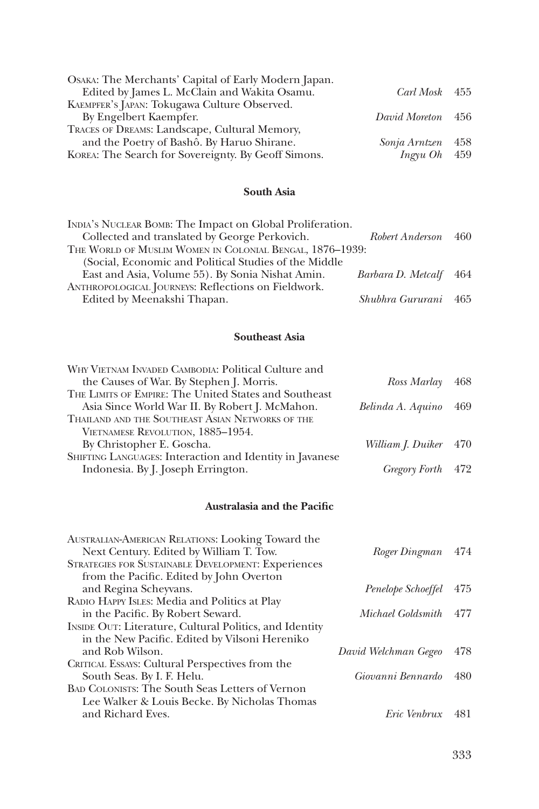| Osака: The Merchants' Capital of Early Modern Japan. |                   |  |
|------------------------------------------------------|-------------------|--|
| Edited by James L. McClain and Wakita Osamu.         | Carl Mosk 455     |  |
| KAEMPFER'S JAPAN: Tokugawa Culture Observed.         |                   |  |
| By Engelbert Kaempfer.                               | David Moreton 456 |  |
| TRACES OF DREAMS: Landscape, Cultural Memory,        |                   |  |
| and the Poetry of Bashô. By Haruo Shirane.           | Sonja Arntzen 458 |  |
| KOREA: The Search for Sovereignty. By Geoff Simons.  | Ingvu Oh 459      |  |
|                                                      |                   |  |

### **South Asia**

| INDIA's NUCLEAR BOMB: The Impact on Global Proliferation. |                        |  |
|-----------------------------------------------------------|------------------------|--|
| Collected and translated by George Perkovich.             | Robert Anderson 460    |  |
| THE WORLD OF MUSLIM WOMEN IN COLONIAL BENGAL, 1876-1939:  |                        |  |
| (Social, Economic and Political Studies of the Middle)    |                        |  |
| East and Asia, Volume 55). By Sonia Nishat Amin.          | Barbara D. Metcalf 464 |  |
| ANTHROPOLOGICAL JOURNEYS: Reflections on Fieldwork.       |                        |  |
| Edited by Meenakshi Thapan.                               | Shubhra Gururani 465   |  |
|                                                           |                        |  |

### **Southeast Asia**

| WHY VIETNAM INVADED CAMBODIA: Political Culture and      |                       |     |
|----------------------------------------------------------|-----------------------|-----|
| the Causes of War. By Stephen J. Morris.                 | Ross Marlay           | 468 |
| THE LIMITS OF EMPIRE: The United States and Southeast    |                       |     |
| Asia Since World War II. By Robert J. McMahon.           | Belinda A. Aquino 469 |     |
| THAILAND AND THE SOUTHEAST ASIAN NETWORKS OF THE         |                       |     |
| VIETNAMESE REVOLUTION, 1885-1954.                        |                       |     |
| By Christopher E. Goscha.                                | William J. Duiker 470 |     |
| SHIFTING LANGUAGES: Interaction and Identity in Javanese |                       |     |
| Indonesia. By J. Joseph Errington.                       | Gregory Forth 472     |     |
|                                                          |                       |     |

### **Australasia and the Pacific**

| AUSTRALIAN-AMERICAN RELATIONS: Looking Toward the          |                      |     |
|------------------------------------------------------------|----------------------|-----|
| Next Century. Edited by William T. Tow.                    | Roger Dingman        | 474 |
| <b>STRATEGIES FOR SUSTAINABLE DEVELOPMENT: Experiences</b> |                      |     |
| from the Pacific. Edited by John Overton                   |                      |     |
| and Regina Scheyvans.                                      | Penelope Schoeffel   | 475 |
| RADIO HAPPY ISLES: Media and Politics at Play              |                      |     |
| in the Pacific. By Robert Seward.                          | Michael Goldsmith    | 477 |
| INSIDE OUT: Literature, Cultural Politics, and Identity    |                      |     |
| in the New Pacific. Edited by Vilsoni Hereniko             |                      |     |
| and Rob Wilson.                                            | David Welchman Gegeo | 478 |
| CRITICAL ESSAYS: Cultural Perspectives from the            |                      |     |
| South Seas. By I. F. Helu.                                 | Giovanni Bennardo    | 480 |
| <b>BAD COLONISTS: The South Seas Letters of Vernon</b>     |                      |     |
| Lee Walker & Louis Becke. By Nicholas Thomas               |                      |     |
| and Richard Eves.                                          | Eric Venbrux         | 481 |
|                                                            |                      |     |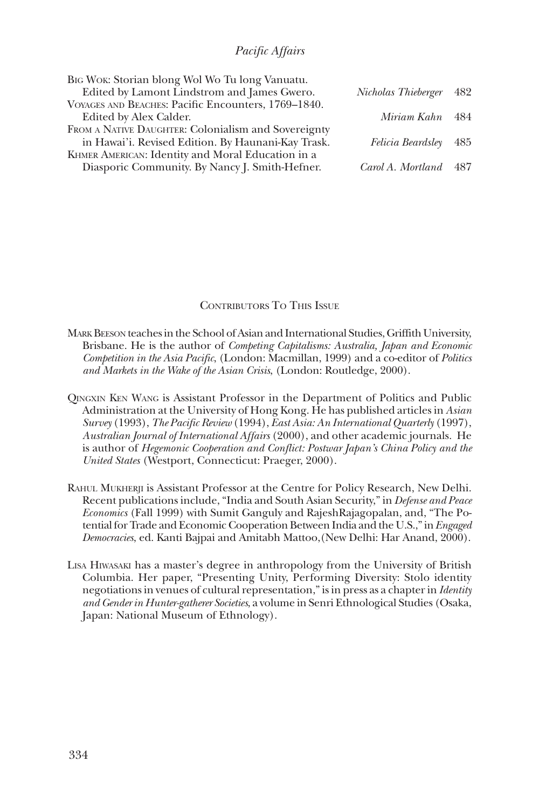| BIG WOK: Storian blong Wol Wo Tu long Vanuatu.      |                         |  |
|-----------------------------------------------------|-------------------------|--|
| Edited by Lamont Lindstrom and James Gwero.         | Nicholas Thieberger 482 |  |
| VOYAGES AND BEACHES: Pacific Encounters, 1769-1840. |                         |  |
| Edited by Alex Calder.                              | Miriam Kahn 484         |  |
| FROM A NATIVE DAUGHTER: Colonialism and Sovereignty |                         |  |
| in Hawai'i. Revised Edition. By Haunani-Kay Trask.  | Felicia Beardsley 485   |  |
| KHMER AMERICAN: Identity and Moral Education in a   |                         |  |
| Diasporic Community. By Nancy J. Smith-Hefner.      | Carol A. Mortland 487   |  |
|                                                     |                         |  |

CONTRIBUTORS TO THIS ISSUE

- MARK BEESON teaches in the School of Asian and International Studies, Griffith University, Brisbane. He is the author of *Competing Capitalisms: Australia, Japan and Economic Competition in the Asia Pacific*, (London: Macmillan, 1999) and a co-editor of *Politics and Markets in the Wake of the Asian Crisis*, (London: Routledge, 2000).
- QINGXIN KEN WANG is Assistant Professor in the Department of Politics and Public Administration at the University of Hong Kong. He has published articles in *Asian Survey* (1993), *The Pacific Review* (1994), *East Asia: An International Quarterly* (1997), *Australian Journal of International Affairs* (2000), and other academic journals. He is author of *Hegemonic Cooperation and Conflict: Postwar Japan's China Policy and the United States* (Westport, Connecticut: Praeger, 2000).
- RAHUL MUKHERJI is Assistant Professor at the Centre for Policy Research, New Delhi. Recent publications include, "India and South Asian Security," in *Defense and Peace Economics* (Fall 1999) with Sumit Ganguly and RajeshRajagopalan, and, "The Potential for Trade and Economic Cooperation Between India and the U.S.," in *Engaged Democracies*, ed. Kanti Bajpai and Amitabh Mattoo,(New Delhi: Har Anand, 2000).
- LISA HIWASAKI has a master's degree in anthropology from the University of British Columbia. Her paper, "Presenting Unity, Performing Diversity: Stolo identity negotiations in venues of cultural representation," is in press as a chapter in *Identity and Gender in Hunter-gatherer Societies*, a volume in Senri Ethnological Studies (Osaka, Japan: National Museum of Ethnology).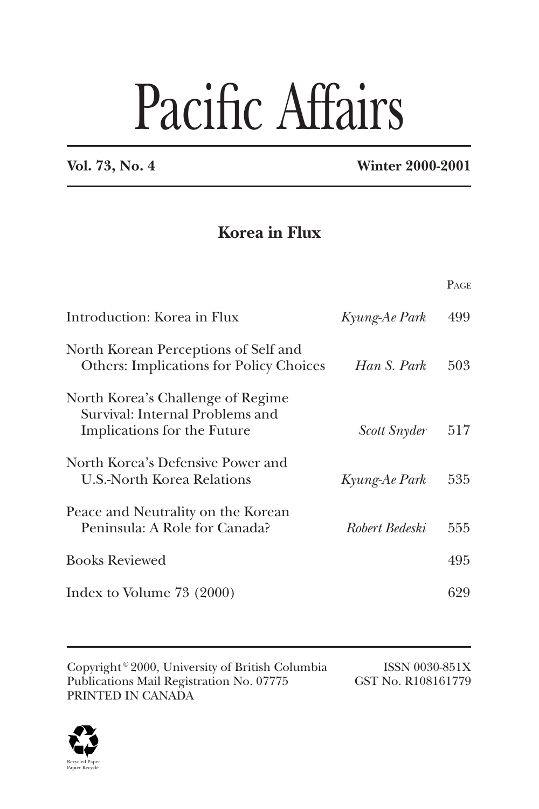**Vol. 73, No. 4 Winter 2000-2001**

# **Korea in Flux**

|                                                                                                     |                | <b>PAGE</b> |
|-----------------------------------------------------------------------------------------------------|----------------|-------------|
| Introduction: Korea in Flux                                                                         | Kyung-Ae Park  | 499         |
| North Korean Perceptions of Self and<br><b>Others: Implications for Policy Choices</b>              | Han S. Park    | 503         |
| North Korea's Challenge of Regime<br>Survival: Internal Problems and<br>Implications for the Future | Scott Snyder   | 517         |
| North Korea's Defensive Power and<br>U.S.-North Korea Relations                                     | Kyung-Ae Park  | 535         |
| Peace and Neutrality on the Korean<br>Peninsula: A Role for Canada?                                 | Robert Bedeski | 555         |
| <b>Books Reviewed</b>                                                                               |                | 495         |
| Index to Volume 73 (2000)                                                                           |                | 629         |
|                                                                                                     |                |             |

| Copyright <sup>®</sup> 2000, University of British Columbia | <b>ISSN 0030-851X</b> |
|-------------------------------------------------------------|-----------------------|
| Publications Mail Registration No. 07775                    | GST No. R108161779    |
| PRINTED IN CANADA                                           |                       |

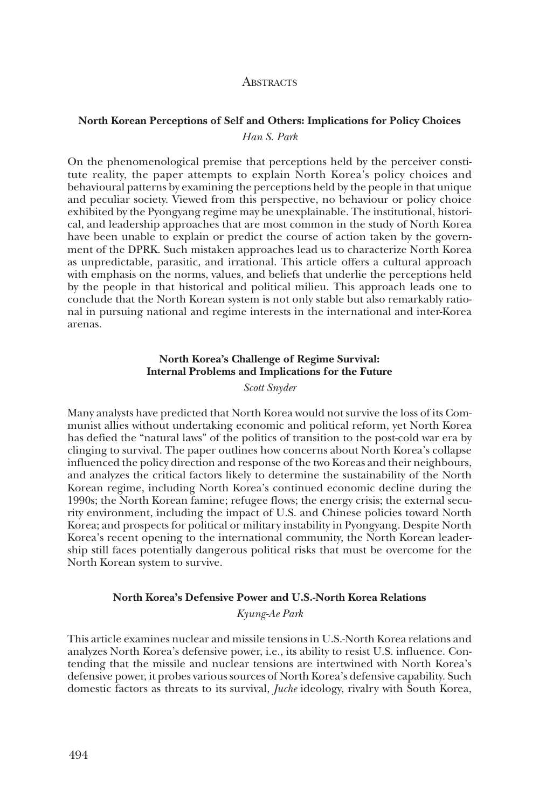### **ABSTRACTS**

### **North Korean Perceptions of Self and Others: Implications for Policy Choices** *Han S. Park*

On the phenomenological premise that perceptions held by the perceiver constitute reality, the paper attempts to explain North Korea's policy choices and behavioural patterns by examining the perceptions held by the people in that unique and peculiar society. Viewed from this perspective, no behaviour or policy choice exhibited by the Pyongyang regime may be unexplainable. The institutional, historical, and leadership approaches that are most common in the study of North Korea have been unable to explain or predict the course of action taken by the government of the DPRK. Such mistaken approaches lead us to characterize North Korea as unpredictable, parasitic, and irrational. This article offers a cultural approach with emphasis on the norms, values, and beliefs that underlie the perceptions held by the people in that historical and political milieu. This approach leads one to conclude that the North Korean system is not only stable but also remarkably rational in pursuing national and regime interests in the international and inter-Korea arenas.

### **North Korea's Challenge of Regime Survival: Internal Problems and Implications for the Future**

*Scott Snyder*

Many analysts have predicted that North Korea would not survive the loss of its Communist allies without undertaking economic and political reform, yet North Korea has defied the "natural laws" of the politics of transition to the post-cold war era by clinging to survival. The paper outlines how concerns about North Korea's collapse influenced the policy direction and response of the two Koreas and their neighbours, and analyzes the critical factors likely to determine the sustainability of the North Korean regime, including North Korea's continued economic decline during the 1990s; the North Korean famine; refugee flows; the energy crisis; the external security environment, including the impact of U.S. and Chinese policies toward North Korea; and prospects for political or military instability in Pyongyang. Despite North Korea's recent opening to the international community, the North Korean leadership still faces potentially dangerous political risks that must be overcome for the North Korean system to survive.

### **North Korea's Defensive Power and U.S.-North Korea Relations**

*Kyung-Ae Park*

This article examines nuclear and missile tensions in U.S.-North Korea relations and analyzes North Korea's defensive power, i.e., its ability to resist U.S. influence. Contending that the missile and nuclear tensions are intertwined with North Korea's defensive power, it probes various sources of North Korea's defensive capability. Such domestic factors as threats to its survival, *Juche* ideology, rivalry with South Korea,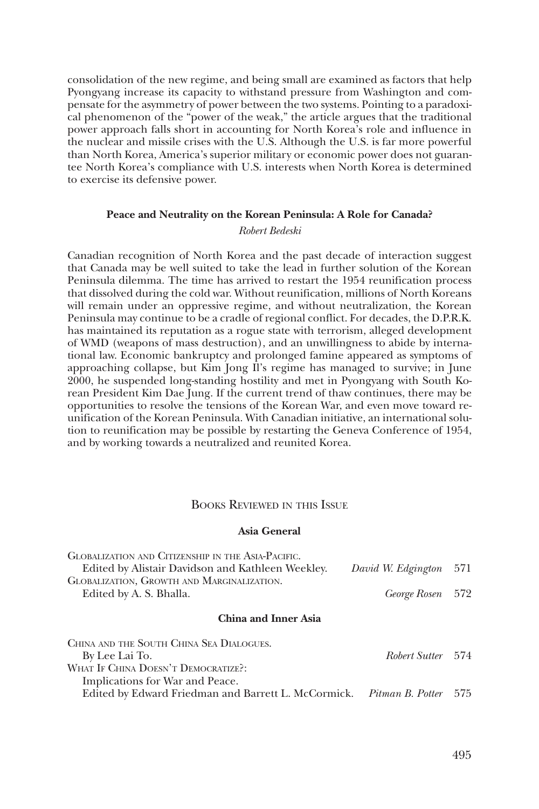consolidation of the new regime, and being small are examined as factors that help Pyongyang increase its capacity to withstand pressure from Washington and compensate for the asymmetry of power between the two systems. Pointing to a paradoxical phenomenon of the "power of the weak," the article argues that the traditional power approach falls short in accounting for North Korea's role and influence in the nuclear and missile crises with the U.S. Although the U.S. is far more powerful than North Korea, America's superior military or economic power does not guarantee North Korea's compliance with U.S. interests when North Korea is determined to exercise its defensive power.

### **Peace and Neutrality on the Korean Peninsula: A Role for Canada?**

*Robert Bedeski*

Canadian recognition of North Korea and the past decade of interaction suggest that Canada may be well suited to take the lead in further solution of the Korean Peninsula dilemma. The time has arrived to restart the 1954 reunification process that dissolved during the cold war. Without reunification, millions of North Koreans will remain under an oppressive regime, and without neutralization, the Korean Peninsula may continue to be a cradle of regional conflict. For decades, the D.P.R.K. has maintained its reputation as a rogue state with terrorism, alleged development of WMD (weapons of mass destruction), and an unwillingness to abide by international law. Economic bankruptcy and prolonged famine appeared as symptoms of approaching collapse, but Kim Jong Il's regime has managed to survive; in June 2000, he suspended long-standing hostility and met in Pyongyang with South Korean President Kim Dae Jung. If the current trend of thaw continues, there may be opportunities to resolve the tensions of the Korean War, and even move toward reunification of the Korean Peninsula. With Canadian initiative, an international solution to reunification may be possible by restarting the Geneva Conference of 1954, and by working towards a neutralized and reunited Korea.

### BOOKS REVIEWED IN THIS ISSUE

### **Asia General**

| <b>GLOBALIZATION AND CITIZENSHIP IN THE ASIA-PACIFIC.</b>                |                        |  |
|--------------------------------------------------------------------------|------------------------|--|
| Edited by Alistair Davidson and Kathleen Weekley.                        | David W. Edgington 571 |  |
| GLOBALIZATION, GROWTH AND MARGINALIZATION.                               |                        |  |
| Edited by A. S. Bhalla.                                                  | George Rosen 572       |  |
| <b>China and Inner Asia</b>                                              |                        |  |
| CHINA AND THE SOUTH CHINA SEA DIALOGUES.                                 |                        |  |
| By Lee Lai To.                                                           | Robert Sutter 574      |  |
| WHAT IF CHINA DOESN'T DEMOCRATIZE?:                                      |                        |  |
| Implications for War and Peace.                                          |                        |  |
| Edited by Edward Friedman and Barrett L. McCormick. Pitman B. Potter 575 |                        |  |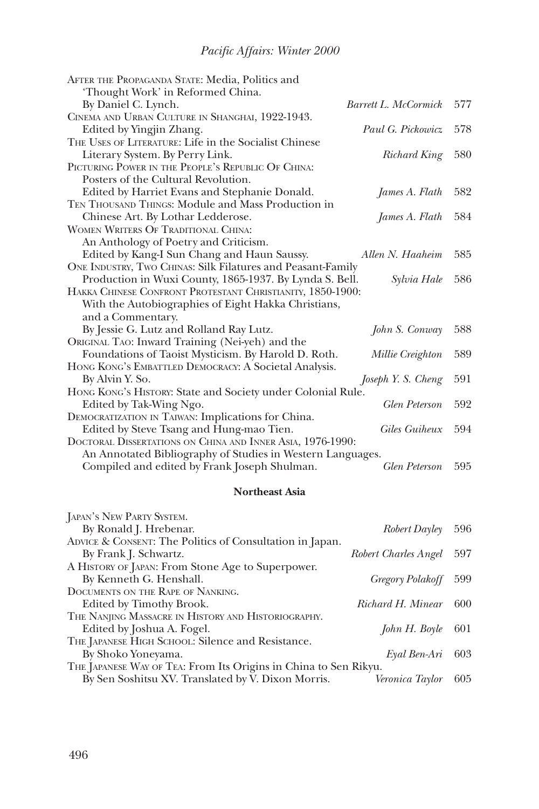| AFTER THE PROPAGANDA STATE: Media, Politics and             |                      |     |
|-------------------------------------------------------------|----------------------|-----|
| 'Thought Work' in Reformed China.                           |                      |     |
| By Daniel C. Lynch.<br>Barrett L. McCormick                 |                      | 577 |
| CINEMA AND URBAN CULTURE IN SHANGHAI, 1922-1943.            |                      |     |
| Edited by Yingjin Zhang.                                    | Paul G. Pickowicz    | 578 |
| THE USES OF LITERATURE: Life in the Socialist Chinese       |                      |     |
| Literary System. By Perry Link.                             | <b>Richard King</b>  | 580 |
| PICTURING POWER IN THE PEOPLE'S REPUBLIC OF CHINA:          |                      |     |
| Posters of the Cultural Revolution.                         |                      |     |
| Edited by Harriet Evans and Stephanie Donald.               | James A. Flath       | 582 |
| TEN THOUSAND THINGS: Module and Mass Production in          |                      |     |
| Chinese Art. By Lothar Ledderose.                           | James A. Flath       | 584 |
| <b>WOMEN WRITERS OF TRADITIONAL CHINA:</b>                  |                      |     |
| An Anthology of Poetry and Criticism.                       |                      |     |
| Edited by Kang-I Sun Chang and Haun Saussy.                 | Allen N. Haaheim     | 585 |
| ONE INDUSTRY, TWO CHINAS: Silk Filatures and Peasant-Family |                      |     |
| Production in Wuxi County, 1865-1937. By Lynda S. Bell.     | Sylvia Hale          | 586 |
| HAKKA CHINESE CONFRONT PROTESTANT CHRISTIANITY, 1850-1900:  |                      |     |
| With the Autobiographies of Eight Hakka Christians,         |                      |     |
| and a Commentary.                                           |                      |     |
| By Jessie G. Lutz and Rolland Ray Lutz.                     | John S. Conway       | 588 |
| ORIGINAL TAO: Inward Training (Nei-yeh) and the             |                      |     |
| Foundations of Taoist Mysticism. By Harold D. Roth.         | Millie Creighton     | 589 |
| HONG KONG'S EMBATTLED DEMOCRACY: A Societal Analysis.       |                      |     |
| By Alvin Y. So.                                             | Joseph Y. S. Cheng   | 591 |
| HONG KONG's HISTORY: State and Society under Colonial Rule. |                      |     |
| Edited by Tak-Wing Ngo.                                     | <b>Glen Peterson</b> | 592 |
| DEMOCRATIZATION IN TAIWAN: Implications for China.          |                      |     |
| Edited by Steve Tsang and Hung-mao Tien.                    | Giles Guiheux        | 594 |
| DOCTORAL DISSERTATIONS ON CHINA AND INNER ASIA, 1976-1990:  |                      |     |
| An Annotated Bibliography of Studies in Western Languages.  |                      |     |
| Compiled and edited by Frank Joseph Shulman.                | <b>Glen Peterson</b> | 595 |
| <b>Northeast Asia</b>                                       |                      |     |
| JAPAN'S NEW PARTY SYSTEM.                                   |                      |     |
| By Ronald J. Hrebenar.                                      | Robert Dayley        | 596 |
| ADVICE & CONSENT: The Politics of Consultation in Japan.    |                      |     |

| ADVICE & CONSENT: The Politics of Consultation in Japan.         |                            |       |
|------------------------------------------------------------------|----------------------------|-------|
| By Frank J. Schwartz.                                            | Robert Charles Angel       | 597   |
| A HISTORY OF JAPAN: From Stone Age to Superpower.                |                            |       |
| By Kenneth G. Henshall.                                          | Gregory Polakoff           | 599   |
| DOCUMENTS ON THE RAPE OF NANKING.                                |                            |       |
| Edited by Timothy Brook.                                         | Richard H. Minear          | 600   |
| THE NANJING MASSACRE IN HISTORY AND HISTORIOGRAPHY.              |                            |       |
| Edited by Joshua A. Fogel.                                       | <i>John H. Boyle</i> $601$ |       |
| THE JAPANESE HIGH SCHOOL: Silence and Resistance.                |                            |       |
| By Shoko Yoneyama.                                               | Eyal Ben-Ari               | - 603 |
| THE JAPANESE WAY OF TEA: From Its Origins in China to Sen Rikyu. |                            |       |
| By Sen Soshitsu XV. Translated by V. Dixon Morris.               | Veronica Taylor            | 605   |
|                                                                  |                            |       |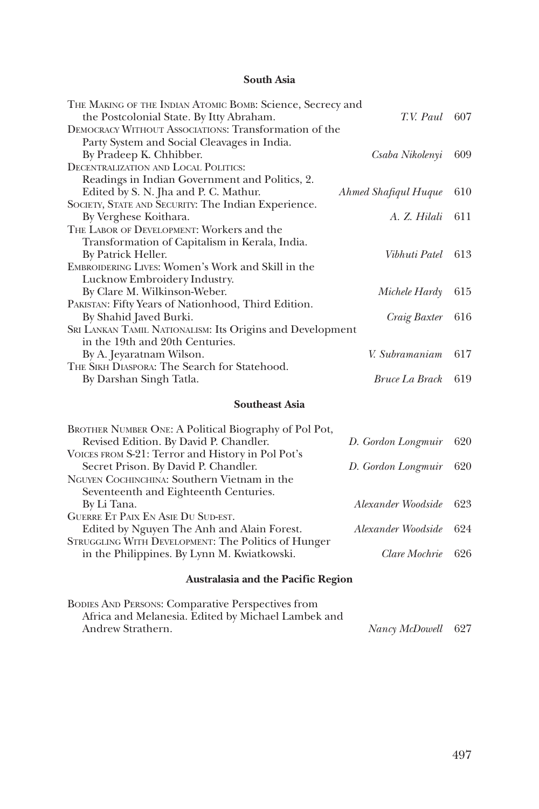### **South Asia**

| THE MAKING OF THE INDIAN ATOMIC BOMB: Science, Secrecy and                                   |                        |     |
|----------------------------------------------------------------------------------------------|------------------------|-----|
| the Postcolonial State. By Itty Abraham.                                                     | <i>T.V. Paul</i> 607   |     |
| DEMOCRACY WITHOUT ASSOCIATIONS: Transformation of the                                        |                        |     |
| Party System and Social Cleavages in India.                                                  |                        |     |
| By Pradeep K. Chhibber.                                                                      | Csaba Nikolenyi        | 609 |
| DECENTRALIZATION AND LOCAL POLITICS:                                                         |                        |     |
| Readings in Indian Government and Politics, 2.                                               |                        |     |
| Edited by S. N. Jha and P. C. Mathur.                                                        | Ahmed Shafiqul Huque   | 610 |
| SOCIETY, STATE AND SECURITY: The Indian Experience.                                          |                        |     |
| By Verghese Koithara.                                                                        | A. Z. Hilali           | 611 |
| THE LABOR OF DEVELOPMENT: Workers and the                                                    |                        |     |
| Transformation of Capitalism in Kerala, India.                                               |                        |     |
| By Patrick Heller.                                                                           | Vibhuti Patel          | 613 |
| EMBROIDERING LIVES: Women's Work and Skill in the                                            |                        |     |
| Lucknow Embroidery Industry.                                                                 |                        |     |
| By Clare M. Wilkinson-Weber.                                                                 | Michele Hardy          | 615 |
| PAKISTAN: Fifty Years of Nationhood, Third Edition.                                          |                        |     |
| By Shahid Javed Burki.                                                                       | Craig Baxter           | 616 |
| SRI LANKAN TAMIL NATIONALISM: Its Origins and Development                                    |                        |     |
| in the 19th and 20th Centuries.                                                              |                        |     |
| By A. Jeyaratnam Wilson.                                                                     | V. Subramaniam         | 617 |
| THE SIKH DIASPORA: The Search for Statehood.                                                 |                        |     |
| By Darshan Singh Tatla.                                                                      | Bruce La Brack         | 619 |
| <b>Southeast Asia</b>                                                                        |                        |     |
|                                                                                              |                        |     |
| BROTHER NUMBER ONE: A Political Biography of Pol Pot,<br>Revised Edition By David P Chandler | D. Gordon Longmuir 690 |     |

| Revised Edition. By David P. Chandler.                     | D. Gordon Longmuir 620 |     |
|------------------------------------------------------------|------------------------|-----|
| VOICES FROM S-21: Terror and History in Pol Pot's          |                        |     |
| Secret Prison. By David P. Chandler.                       | D. Gordon Longmuir 620 |     |
| NGUYEN COCHINCHINA: Southern Vietnam in the                |                        |     |
| Seventeenth and Eighteenth Centuries.                      |                        |     |
| By Li Tana.                                                | Alexander Woodside 623 |     |
| GUERRE ET PAIX EN ASIE DU SUD-EST.                         |                        |     |
| Edited by Nguyen The Anh and Alain Forest.                 | Alexander Woodside 624 |     |
| <b>STRUGGLING WITH DEVELOPMENT: The Politics of Hunger</b> |                        |     |
| in the Philippines. By Lynn M. Kwiatkowski.                | Clare Mochrie          | 626 |
|                                                            |                        |     |

### **Australasia and the Pacific Region**

| BODIES AND PERSONS: Comparative Perspectives from  |                    |  |
|----------------------------------------------------|--------------------|--|
| Africa and Melanesia. Edited by Michael Lambek and |                    |  |
| Andrew Strathern.                                  | Nancy McDowell 627 |  |